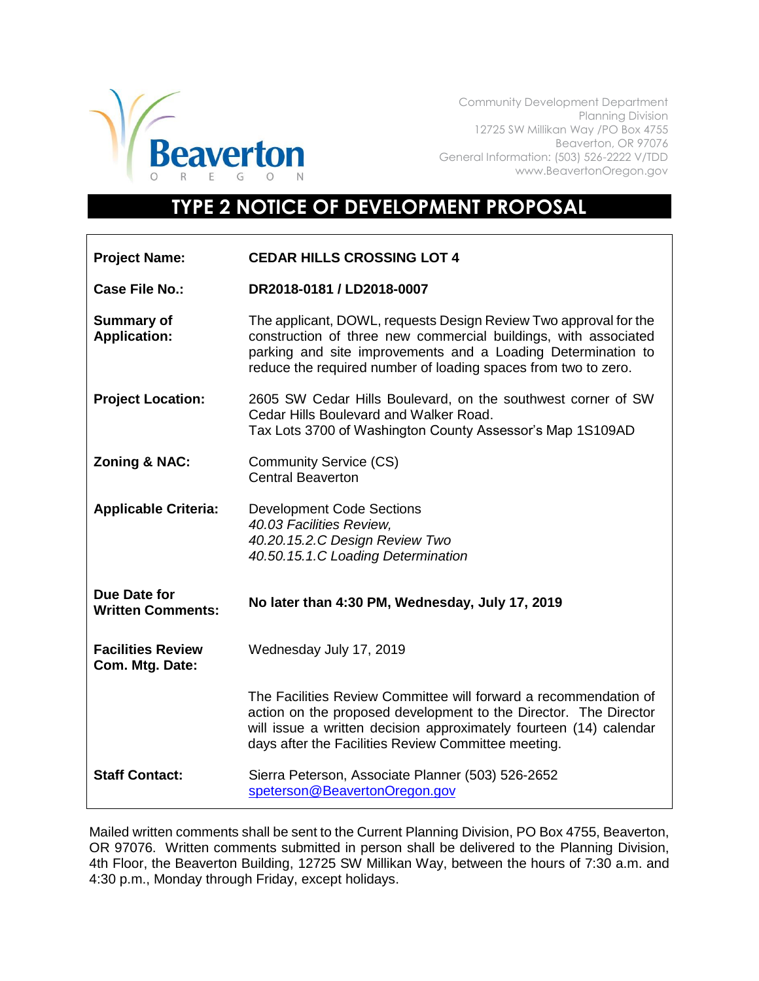

Community Development Department Planning Division 12725 SW Millikan Way /PO Box 4755 Beaverton, OR 97076 General Information: (503) 526-2222 V/TDD www.BeavertonOregon.gov

## **TYPE 2 NOTICE OF DEVELOPMENT PROPOSAL**

| <b>Project Name:</b>                            | <b>CEDAR HILLS CROSSING LOT 4</b>                                                                                                                                                                                                                                     |
|-------------------------------------------------|-----------------------------------------------------------------------------------------------------------------------------------------------------------------------------------------------------------------------------------------------------------------------|
| Case File No.:                                  | DR2018-0181 / LD2018-0007                                                                                                                                                                                                                                             |
| <b>Summary of</b><br><b>Application:</b>        | The applicant, DOWL, requests Design Review Two approval for the<br>construction of three new commercial buildings, with associated<br>parking and site improvements and a Loading Determination to<br>reduce the required number of loading spaces from two to zero. |
| <b>Project Location:</b>                        | 2605 SW Cedar Hills Boulevard, on the southwest corner of SW<br>Cedar Hills Boulevard and Walker Road.<br>Tax Lots 3700 of Washington County Assessor's Map 1S109AD                                                                                                   |
| <b>Zoning &amp; NAC:</b>                        | <b>Community Service (CS)</b><br><b>Central Beaverton</b>                                                                                                                                                                                                             |
| <b>Applicable Criteria:</b>                     | <b>Development Code Sections</b><br>40.03 Facilities Review,<br>40.20.15.2.C Design Review Two<br>40.50.15.1.C Loading Determination                                                                                                                                  |
| <b>Due Date for</b><br><b>Written Comments:</b> | No later than 4:30 PM, Wednesday, July 17, 2019                                                                                                                                                                                                                       |
| <b>Facilities Review</b><br>Com. Mtg. Date:     | Wednesday July 17, 2019                                                                                                                                                                                                                                               |
|                                                 | The Facilities Review Committee will forward a recommendation of<br>action on the proposed development to the Director. The Director<br>will issue a written decision approximately fourteen (14) calendar<br>days after the Facilities Review Committee meeting.     |
| <b>Staff Contact:</b>                           | Sierra Peterson, Associate Planner (503) 526-2652<br>speterson@BeavertonOregon.gov                                                                                                                                                                                    |

Mailed written comments shall be sent to the Current Planning Division, PO Box 4755, Beaverton, OR 97076. Written comments submitted in person shall be delivered to the Planning Division, 4th Floor, the Beaverton Building, 12725 SW Millikan Way, between the hours of 7:30 a.m. and 4:30 p.m., Monday through Friday, except holidays.